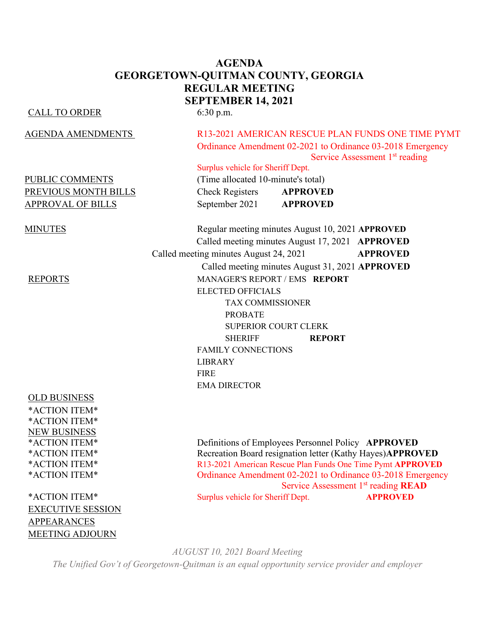## **AGENDA GEORGETOWN-QUITMAN COUNTY, GEORGIA REGULAR MEETING SEPTEMBER 14, 2021**

#### CALL TO ORDER 6:30 p.m.

OLD BUSINESS

\*ACTION ITEM\* \*ACTION ITEM\* NEW BUSINESS

EXECUTIVE SESSION APPEARANCES MEETING ADJOURN

## AGENDA AMENDMENTS R13-2021 AMERICAN RESCUE PLAN FUNDS ONE TIME PYMT Ordinance Amendment 02-2021 to Ordinance 03-2018 Emergency Service Assessment 1<sup>st</sup> reading

## Surplus vehicle for Sheriff Dept.

PUBLIC COMMENTS (Time allocated 10-minute's total) PREVIOUS MONTH BILLS Check Registers **APPROVED** APPROVAL OF BILLS September 2021 **APPROVED**

MINUTES Regular meeting minutes August 10, 2021 **APPROVED** Called meeting minutes August 17, 2021 **APPROVED** Called meeting minutes August 24, 2021 **APPROVED** Called meeting minutes August 31, 2021 **APPROVED** REPORTS MANAGER'S REPORT / EMS **REPORT** ELECTED OFFICIALS TAX COMMISSIONER PROBATE SUPERIOR COURT CLERK SHERIFF **REPORT** FAMILY CONNECTIONS LIBRARY FIRE EMA DIRECTOR

\*ACTION ITEM\* Definitions of Employees Personnel Policy **APPROVED** \*ACTION ITEM\* Recreation Board resignation letter (Kathy Hayes)**APPROVED** \*ACTION ITEM\* R13-2021 American Rescue Plan Funds One Time Pymt **APPROVED** \*ACTION ITEM\* Ordinance Amendment 02-2021 to Ordinance 03-2018 Emergency Service Assessment 1<sup>st</sup> reading **READ** \*ACTION ITEM\* Surplus vehicle for Sheriff Dept. **APPROVED**

*AUGUST 10, 2021 Board Meeting*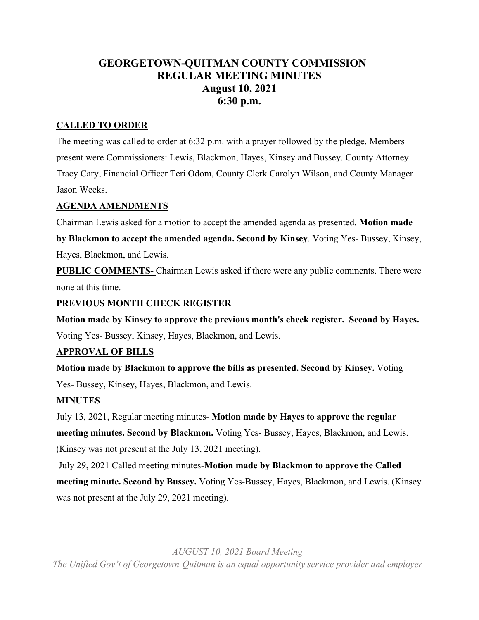## **GEORGETOWN-QUITMAN COUNTY COMMISSION REGULAR MEETING MINUTES August 10, 2021 6:30 p.m.**

## **CALLED TO ORDER**

The meeting was called to order at 6:32 p.m. with a prayer followed by the pledge. Members present were Commissioners: Lewis, Blackmon, Hayes, Kinsey and Bussey. County Attorney Tracy Cary, Financial Officer Teri Odom, County Clerk Carolyn Wilson, and County Manager Jason Weeks.

## **AGENDA AMENDMENTS**

Chairman Lewis asked for a motion to accept the amended agenda as presented. **Motion made** 

**by Blackmon to accept the amended agenda. Second by Kinsey**. Voting Yes- Bussey, Kinsey, Hayes, Blackmon, and Lewis.

**PUBLIC COMMENTS-** Chairman Lewis asked if there were any public comments. There were none at this time.

## **PREVIOUS MONTH CHECK REGISTER**

**Motion made by Kinsey to approve the previous month's check register. Second by Hayes.** Voting Yes- Bussey, Kinsey, Hayes, Blackmon, and Lewis.

## **APPROVAL OF BILLS**

**Motion made by Blackmon to approve the bills as presented. Second by Kinsey.** Voting Yes- Bussey, Kinsey, Hayes, Blackmon, and Lewis.

## **MINUTES**

July 13, 2021, Regular meeting minutes- **Motion made by Hayes to approve the regular meeting minutes. Second by Blackmon.** Voting Yes- Bussey, Hayes, Blackmon, and Lewis. (Kinsey was not present at the July 13, 2021 meeting).

July 29, 2021 Called meeting minutes-**Motion made by Blackmon to approve the Called meeting minute. Second by Bussey.** Voting Yes-Bussey, Hayes, Blackmon, and Lewis. (Kinsey was not present at the July 29, 2021 meeting).

*AUGUST 10, 2021 Board Meeting*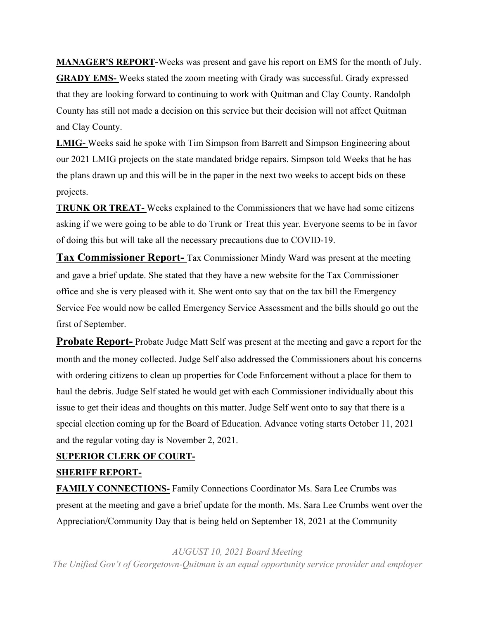**MANAGER'S REPORT-**Weeks was present and gave his report on EMS for the month of July. **GRADY EMS-** Weeks stated the zoom meeting with Grady was successful. Grady expressed that they are looking forward to continuing to work with Quitman and Clay County. Randolph County has still not made a decision on this service but their decision will not affect Quitman and Clay County.

**LMIG-** Weeks said he spoke with Tim Simpson from Barrett and Simpson Engineering about our 2021 LMIG projects on the state mandated bridge repairs. Simpson told Weeks that he has the plans drawn up and this will be in the paper in the next two weeks to accept bids on these projects.

**TRUNK OR TREAT-** Weeks explained to the Commissioners that we have had some citizens asking if we were going to be able to do Trunk or Treat this year. Everyone seems to be in favor of doing this but will take all the necessary precautions due to COVID-19.

**Tax Commissioner Report-** Tax Commissioner Mindy Ward was present at the meeting and gave a brief update. She stated that they have a new website for the Tax Commissioner office and she is very pleased with it. She went onto say that on the tax bill the Emergency Service Fee would now be called Emergency Service Assessment and the bills should go out the first of September.

**Probate Report-** Probate Judge Matt Self was present at the meeting and gave a report for the month and the money collected. Judge Self also addressed the Commissioners about his concerns with ordering citizens to clean up properties for Code Enforcement without a place for them to haul the debris. Judge Self stated he would get with each Commissioner individually about this issue to get their ideas and thoughts on this matter. Judge Self went onto to say that there is a special election coming up for the Board of Education. Advance voting starts October 11, 2021 and the regular voting day is November 2, 2021.

### **SUPERIOR CLERK OF COURT-**

### **SHERIFF REPORT-**

**FAMILY CONNECTIONS-** Family Connections Coordinator Ms. Sara Lee Crumbs was present at the meeting and gave a brief update for the month. Ms. Sara Lee Crumbs went over the Appreciation/Community Day that is being held on September 18, 2021 at the Community

*AUGUST 10, 2021 Board Meeting*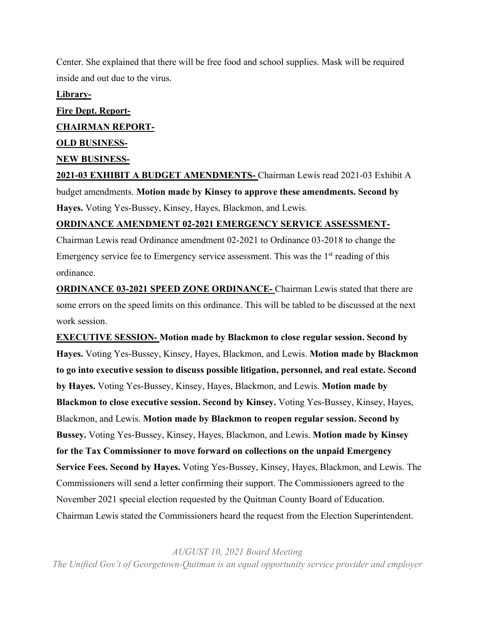Center. She explained that there will be free food and school supplies. Mask will be required inside and out due to the virus.

#### **Library-**

# **Fire Dept. Report-CHAIRMAN REPORT-OLD BUSINESS-NEW BUSINESS-2021-03 EXHIBIT A BUDGET AMENDMENTS-** Chairman Lewis read 2021-03 Exhibit A

budget amendments. **Motion made by Kinsey to approve these amendments. Second by Hayes.** Voting Yes-Bussey, Kinsey, Hayes, Blackmon, and Lewis.

### **ORDINANCE AMENDMENT 02-2021 EMERGENCY SERVICE ASSESSMENT-**

Chairman Lewis read Ordinance amendment 02-2021 to Ordinance 03-2018 to change the Emergency service fee to Emergency service assessment. This was the  $1<sup>st</sup>$  reading of this ordinance.

**ORDINANCE 03-2021 SPEED ZONE ORDINANCE-** Chairman Lewis stated that there are some errors on the speed limits on this ordinance. This will be tabled to be discussed at the next work session.

**EXECUTIVE SESSION- Motion made by Blackmon to close regular session. Second by Hayes.** Voting Yes-Bussey, Kinsey, Hayes, Blackmon, and Lewis. **Motion made by Blackmon to go into executive session to discuss possible litigation, personnel, and real estate. Second by Hayes.** Voting Yes-Bussey, Kinsey, Hayes, Blackmon, and Lewis. **Motion made by Blackmon to close executive session. Second by Kinsey.** Voting Yes-Bussey, Kinsey, Hayes, Blackmon, and Lewis. **Motion made by Blackmon to reopen regular session. Second by Bussey.** Voting Yes-Bussey, Kinsey, Hayes, Blackmon, and Lewis. **Motion made by Kinsey for the Tax Commissioner to move forward on collections on the unpaid Emergency Service Fees. Second by Hayes.** Voting Yes-Bussey, Kinsey, Hayes, Blackmon, and Lewis. The Commissioners will send a letter confirming their support. The Commissioners agreed to the November 2021 special election requested by the Quitman County Board of Education. Chairman Lewis stated the Commissioners heard the request from the Election Superintendent.

*AUGUST 10, 2021 Board Meeting*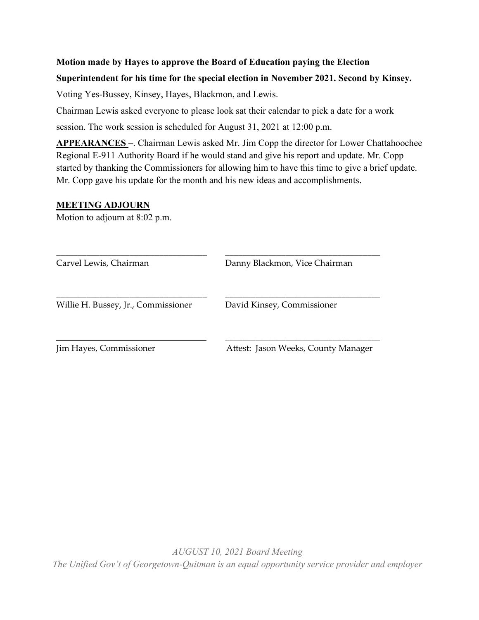## **Motion made by Hayes to approve the Board of Education paying the Election Superintendent for his time for the special election in November 2021. Second by Kinsey.**

Voting Yes-Bussey, Kinsey, Hayes, Blackmon, and Lewis.

Chairman Lewis asked everyone to please look sat their calendar to pick a date for a work session. The work session is scheduled for August 31, 2021 at 12:00 p.m.

**APPEARANCES** –. Chairman Lewis asked Mr. Jim Copp the director for Lower Chattahoochee Regional E-911 Authority Board if he would stand and give his report and update. Mr. Copp started by thanking the Commissioners for allowing him to have this time to give a brief update. Mr. Copp gave his update for the month and his new ideas and accomplishments.

### **MEETING ADJOURN**

Motion to adjourn at 8:02 p.m.

\_\_\_\_\_\_\_\_\_\_\_\_\_\_\_\_\_\_\_\_\_\_\_\_\_\_\_\_\_\_\_\_\_\_\_ \_\_\_\_\_\_\_\_\_\_\_\_\_\_\_\_\_\_\_\_\_\_\_\_\_\_\_\_\_\_\_\_\_\_\_\_ Carvel Lewis, Chairman Danny Blackmon, Vice Chairman \_\_\_\_\_\_\_\_\_\_\_\_\_\_\_\_\_\_\_\_\_\_\_\_\_\_\_\_\_\_\_\_\_\_\_ \_\_\_\_\_\_\_\_\_\_\_\_\_\_\_\_\_\_\_\_\_\_\_\_\_\_\_\_\_\_\_\_\_\_\_\_ Willie H. Bussey, Jr., Commissioner David Kinsey, Commissioner \_\_\_\_\_\_\_\_\_\_\_\_\_\_\_\_\_\_\_\_\_\_\_\_\_\_\_\_\_\_\_\_ \_\_\_\_\_\_\_\_\_\_\_\_\_\_\_\_\_\_\_\_\_\_\_\_\_\_\_\_\_\_\_\_\_\_\_\_ Jim Hayes, Commissioner Attest: Jason Weeks, County Manager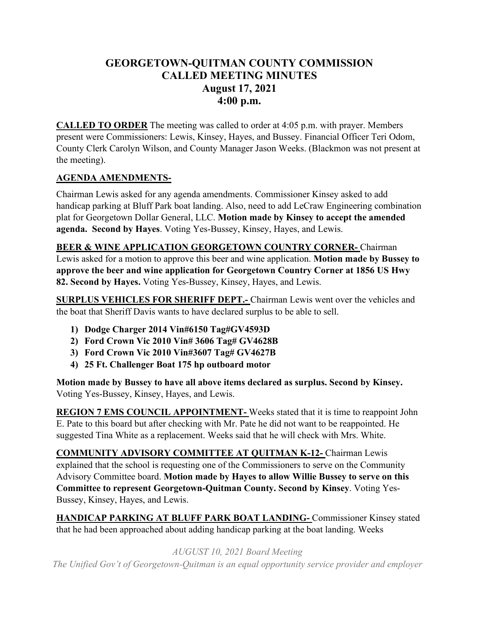## **GEORGETOWN-QUITMAN COUNTY COMMISSION CALLED MEETING MINUTES August 17, 2021 4:00 p.m.**

**CALLED TO ORDER** The meeting was called to order at 4:05 p.m. with prayer. Members present were Commissioners: Lewis, Kinsey, Hayes, and Bussey. Financial Officer Teri Odom, County Clerk Carolyn Wilson, and County Manager Jason Weeks. (Blackmon was not present at the meeting).

## **AGENDA AMENDMENTS-**

Chairman Lewis asked for any agenda amendments. Commissioner Kinsey asked to add handicap parking at Bluff Park boat landing. Also, need to add LeCraw Engineering combination plat for Georgetown Dollar General, LLC. **Motion made by Kinsey to accept the amended agenda. Second by Hayes**. Voting Yes-Bussey, Kinsey, Hayes, and Lewis.

**BEER & WINE APPLICATION GEORGETOWN COUNTRY CORNER-** Chairman Lewis asked for a motion to approve this beer and wine application. **Motion made by Bussey to approve the beer and wine application for Georgetown Country Corner at 1856 US Hwy 82. Second by Hayes.** Voting Yes-Bussey, Kinsey, Hayes, and Lewis.

**SURPLUS VEHICLES FOR SHERIFF DEPT.-** Chairman Lewis went over the vehicles and the boat that Sheriff Davis wants to have declared surplus to be able to sell.

- **1) Dodge Charger 2014 Vin#6150 Tag#GV4593D**
- **2) Ford Crown Vic 2010 Vin# 3606 Tag# GV4628B**
- **3) Ford Crown Vic 2010 Vin#3607 Tag# GV4627B**
- **4) 25 Ft. Challenger Boat 175 hp outboard motor**

**Motion made by Bussey to have all above items declared as surplus. Second by Kinsey.**  Voting Yes-Bussey, Kinsey, Hayes, and Lewis.

**REGION 7 EMS COUNCIL APPOINTMENT-** Weeks stated that it is time to reappoint John E. Pate to this board but after checking with Mr. Pate he did not want to be reappointed. He suggested Tina White as a replacement. Weeks said that he will check with Mrs. White.

**COMMUNITY ADVISORY COMMITTEE AT QUITMAN K-12-** Chairman Lewis explained that the school is requesting one of the Commissioners to serve on the Community Advisory Committee board. **Motion made by Hayes to allow Willie Bussey to serve on this Committee to represent Georgetown-Quitman County. Second by Kinsey**. Voting Yes-Bussey, Kinsey, Hayes, and Lewis.

**HANDICAP PARKING AT BLUFF PARK BOAT LANDING-** Commissioner Kinsey stated that he had been approached about adding handicap parking at the boat landing. Weeks

*AUGUST 10, 2021 Board Meeting*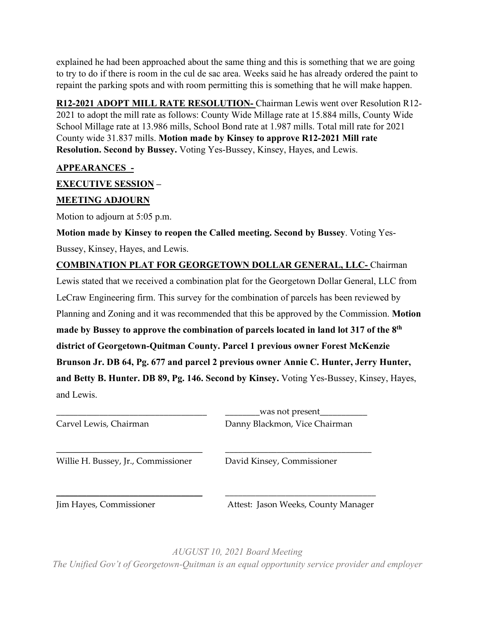explained he had been approached about the same thing and this is something that we are going to try to do if there is room in the cul de sac area. Weeks said he has already ordered the paint to repaint the parking spots and with room permitting this is something that he will make happen.

**R12-2021 ADOPT MILL RATE RESOLUTION-** Chairman Lewis went over Resolution R12- 2021 to adopt the mill rate as follows: County Wide Millage rate at 15.884 mills, County Wide School Millage rate at 13.986 mills, School Bond rate at 1.987 mills. Total mill rate for 2021 County wide 31.837 mills. **Motion made by Kinsey to approve R12-2021 Mill rate Resolution. Second by Bussey.** Voting Yes-Bussey, Kinsey, Hayes, and Lewis.

## **APPEARANCES\_-**

## **EXECUTIVE SESSION –**

## **MEETING ADJOURN**

Motion to adjourn at 5:05 p.m.

**Motion made by Kinsey to reopen the Called meeting. Second by Bussey**. Voting Yes-Bussey, Kinsey, Hayes, and Lewis.

**COMBINATION PLAT FOR GEORGETOWN DOLLAR GENERAL, LLC-** Chairman Lewis stated that we received a combination plat for the Georgetown Dollar General, LLC from LeCraw Engineering firm. This survey for the combination of parcels has been reviewed by Planning and Zoning and it was recommended that this be approved by the Commission. **Motion made by Bussey to approve the combination of parcels located in land lot 317 of the 8th district of Georgetown-Quitman County. Parcel 1 previous owner Forest McKenzie Brunson Jr. DB 64, Pg. 677 and parcel 2 previous owner Annie C. Hunter, Jerry Hunter, and Betty B. Hunter. DB 89, Pg. 146. Second by Kinsey.** Voting Yes-Bussey, Kinsey, Hayes, and Lewis.

| Carvel Lewis, Chairman              | was not present<br>Danny Blackmon, Vice Chairman |
|-------------------------------------|--------------------------------------------------|
| Willie H. Bussey, Jr., Commissioner | David Kinsey, Commissioner                       |
| Jim Hayes, Commissioner             | Attest: Jason Weeks, County Manager              |

*AUGUST 10, 2021 Board Meeting The Unified Gov't of Georgetown-Quitman is an equal opportunity service provider and employer*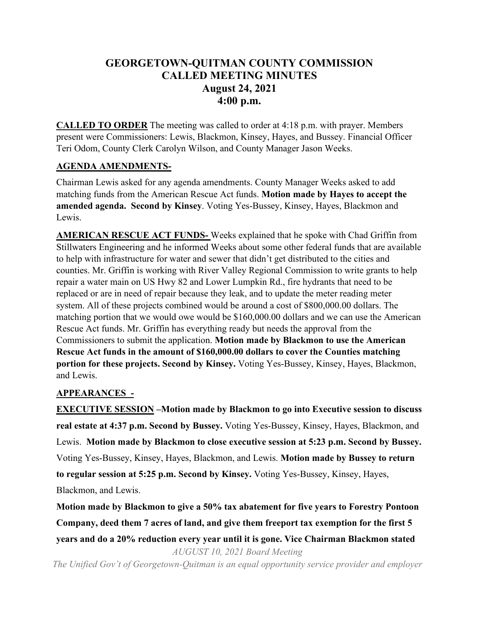## **GEORGETOWN-QUITMAN COUNTY COMMISSION CALLED MEETING MINUTES August 24, 2021 4:00 p.m.**

**CALLED TO ORDER** The meeting was called to order at 4:18 p.m. with prayer. Members present were Commissioners: Lewis, Blackmon, Kinsey, Hayes, and Bussey. Financial Officer Teri Odom, County Clerk Carolyn Wilson, and County Manager Jason Weeks.

## **AGENDA AMENDMENTS-**

Chairman Lewis asked for any agenda amendments. County Manager Weeks asked to add matching funds from the American Rescue Act funds. **Motion made by Hayes to accept the amended agenda. Second by Kinsey**. Voting Yes-Bussey, Kinsey, Hayes, Blackmon and Lewis.

**AMERICAN RESCUE ACT FUNDS-** Weeks explained that he spoke with Chad Griffin from Stillwaters Engineering and he informed Weeks about some other federal funds that are available to help with infrastructure for water and sewer that didn't get distributed to the cities and counties. Mr. Griffin is working with River Valley Regional Commission to write grants to help repair a water main on US Hwy 82 and Lower Lumpkin Rd., fire hydrants that need to be replaced or are in need of repair because they leak, and to update the meter reading meter system. All of these projects combined would be around a cost of \$800,000.00 dollars. The matching portion that we would owe would be \$160,000.00 dollars and we can use the American Rescue Act funds. Mr. Griffin has everything ready but needs the approval from the Commissioners to submit the application. **Motion made by Blackmon to use the American Rescue Act funds in the amount of \$160,000.00 dollars to cover the Counties matching portion for these projects. Second by Kinsey.** Voting Yes-Bussey, Kinsey, Hayes, Blackmon, and Lewis.

## **APPEARANCES\_-**

**EXECUTIVE SESSION –Motion made by Blackmon to go into Executive session to discuss real estate at 4:37 p.m. Second by Bussey.** Voting Yes-Bussey, Kinsey, Hayes, Blackmon, and Lewis. **Motion made by Blackmon to close executive session at 5:23 p.m. Second by Bussey.** Voting Yes-Bussey, Kinsey, Hayes, Blackmon, and Lewis. **Motion made by Bussey to return to regular session at 5:25 p.m. Second by Kinsey.** Voting Yes-Bussey, Kinsey, Hayes, Blackmon, and Lewis.

**Motion made by Blackmon to give a 50% tax abatement for five years to Forestry Pontoon Company, deed them 7 acres of land, and give them freeport tax exemption for the first 5 years and do a 20% reduction every year until it is gone. Vice Chairman Blackmon stated** 

*AUGUST 10, 2021 Board Meeting*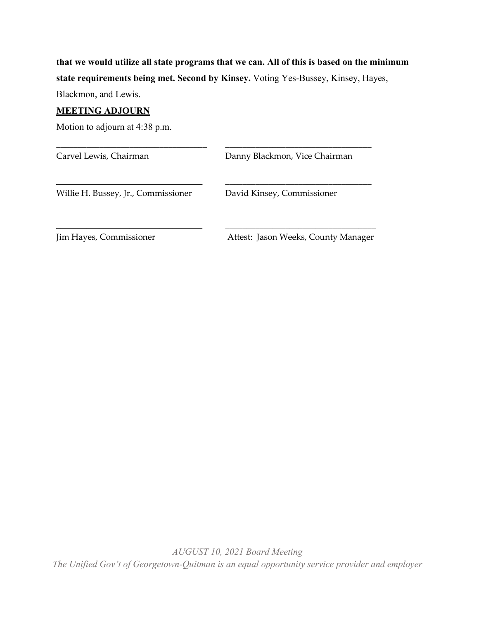**that we would utilize all state programs that we can. All of this is based on the minimum state requirements being met. Second by Kinsey.** Voting Yes-Bussey, Kinsey, Hayes,

\_\_\_\_\_\_\_\_\_\_\_\_\_\_\_\_\_\_\_\_\_\_\_\_\_\_\_\_\_\_\_\_\_\_\_ \_\_\_\_\_\_\_\_\_\_\_\_\_\_\_\_\_\_\_\_\_\_\_\_\_\_\_\_\_\_\_\_\_\_

\_\_\_\_\_\_\_\_\_\_\_\_\_\_\_\_\_\_\_\_\_\_\_\_\_\_\_\_\_\_\_\_\_\_ \_\_\_\_\_\_\_\_\_\_\_\_\_\_\_\_\_\_\_\_\_\_\_\_\_\_\_\_\_\_\_\_\_\_

\_\_\_\_\_\_\_\_\_\_\_\_\_\_\_\_\_\_\_\_\_\_\_\_\_\_\_\_\_\_\_\_\_\_ \_\_\_\_\_\_\_\_\_\_\_\_\_\_\_\_\_\_\_\_\_\_\_\_\_\_\_\_\_\_\_\_\_\_\_

Blackmon, and Lewis.

#### **MEETING ADJOURN**

Motion to adjourn at 4:38 p.m.

Carvel Lewis, Chairman **Danny Blackmon**, Vice Chairman

Willie H. Bussey, Jr., Commissioner David Kinsey, Commissioner

Jim Hayes, Commissioner Attest: Jason Weeks, County Manager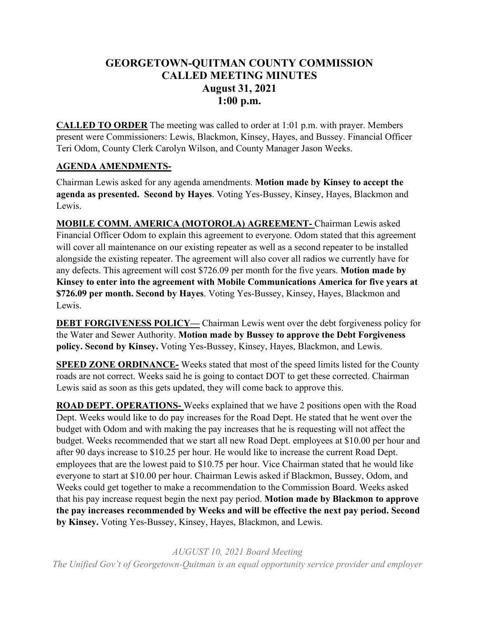## **GEORGETOWN-QUITMAN COUNTY COMMISSION CALLED MEETING MINUTES August 31, 2021 1:00 p.m.**

**CALLED TO ORDER** The meeting was called to order at 1:01 p.m. with prayer. Members present were Commissioners: Lewis, Blackmon, Kinsey, Hayes, and Bussey. Financial Officer Teri Odom, County Clerk Carolyn Wilson, and County Manager Jason Weeks.

## **AGENDA AMENDMENTS-**

Chairman Lewis asked for any agenda amendments. **Motion made by Kinsey to accept the agenda as presented. Second by Hayes**. Voting Yes-Bussey, Kinsey, Hayes, Blackmon and Lewis.

**MOBILE COMM. AMERICA (MOTOROLA) AGREEMENT-** Chairman Lewis asked Financial Officer Odom to explain this agreement to everyone. Odom stated that this agreement will cover all maintenance on our existing repeater as well as a second repeater to be installed alongside the existing repeater. The agreement will also cover all radios we currently have for any defects. This agreement will cost \$726.09 per month for the five years. **Motion made by Kinsey to enter into the agreement with Mobile Communications America for five years at \$726.09 per month. Second by Hayes**. Voting Yes-Bussey, Kinsey, Hayes, Blackmon and Lewis.

**DEBT FORGIVENESS POLICY—** Chairman Lewis went over the debt forgiveness policy for the Water and Sewer Authority. **Motion made by Bussey to approve the Debt Forgiveness policy. Second by Kinsey.** Voting Yes-Bussey, Kinsey, Hayes, Blackmon, and Lewis.

**SPEED ZONE ORDINANCE**-Weeks stated that most of the speed limits listed for the County roads are not correct. Weeks said he is going to contact DOT to get these corrected. Chairman Lewis said as soon as this gets updated, they will come back to approve this.

**ROAD DEPT. OPERATIONS-** Weeks explained that we have 2 positions open with the Road Dept. Weeks would like to do pay increases for the Road Dept. He stated that he went over the budget with Odom and with making the pay increases that he is requesting will not affect the budget. Weeks recommended that we start all new Road Dept. employees at \$10.00 per hour and after 90 days increase to \$10.25 per hour. He would like to increase the current Road Dept. employees that are the lowest paid to \$10.75 per hour. Vice Chairman stated that he would like everyone to start at \$10.00 per hour. Chairman Lewis asked if Blackmon, Bussey, Odom, and Weeks could get together to make a recommendation to the Commission Board. Weeks asked that his pay increase request begin the next pay period. **Motion made by Blackmon to approve the pay increases recommended by Weeks and will be effective the next pay period. Second by Kinsey.** Voting Yes-Bussey, Kinsey, Hayes, Blackmon, and Lewis.

*AUGUST 10, 2021 Board Meeting The Unified Gov't of Georgetown-Quitman is an equal opportunity service provider and employer*